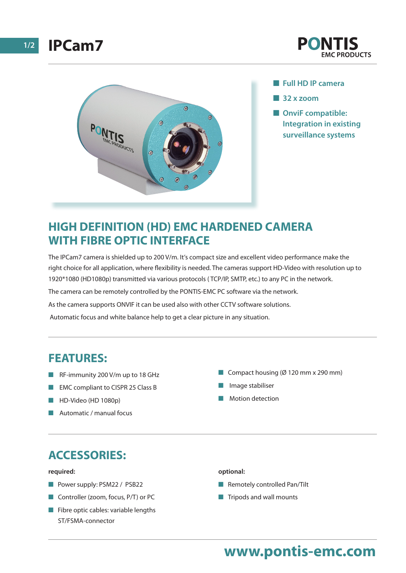



- n **Full HD IP camera**
- **1** 32 x zoom
- **n** OnviF compatible: **Integration in existing surveillance systems**

## **HIGH DEFINITION (HD) EMC HARDENED CAMERA WITH FIBRE OPTIC INTERFACE**

The IPCam7 camera is shielded up to 200 V/m. It's compact size and excellent video performance make the right choice for all application, where flexibility is needed. The cameras support HD-Video with resolution up to 1920\*1080 (HD1080p) transmitted via various protocols ( TCP/IP, SMTP, etc.) to any PC in the network.

The camera can be remotely controlled by the PONTIS-EMC PC software via the network.

As the camera supports ONVIF it can be used also with other CCTV software solutions.

Automatic focus and white balance help to get a clear picture in any situation.

## **FEATURES:**

- $R$ F-immunity 200 V/m up to 18 GHz
- **n** EMC compliant to CISPR 25 Class B
- **N** HD-Video (HD 1080p)
- n Automatic / manual focus
- Compact housing  $(\emptyset 120$  mm x 290 mm)
- n Image stabiliser
- Motion detection

## **ACCESSORIES:**

#### **required:**

- **n** Power supply: PSM22 / PSB22
- Controller (zoom, focus, P/T) or PC
- $\blacksquare$  Fibre optic cables: variable lengths ST/FSMA-connector

### **optional:**

- $\blacksquare$  Remotely controlled Pan/Tilt
- $\blacksquare$  Tripods and wall mounts

# **www.pontis-emc.com**